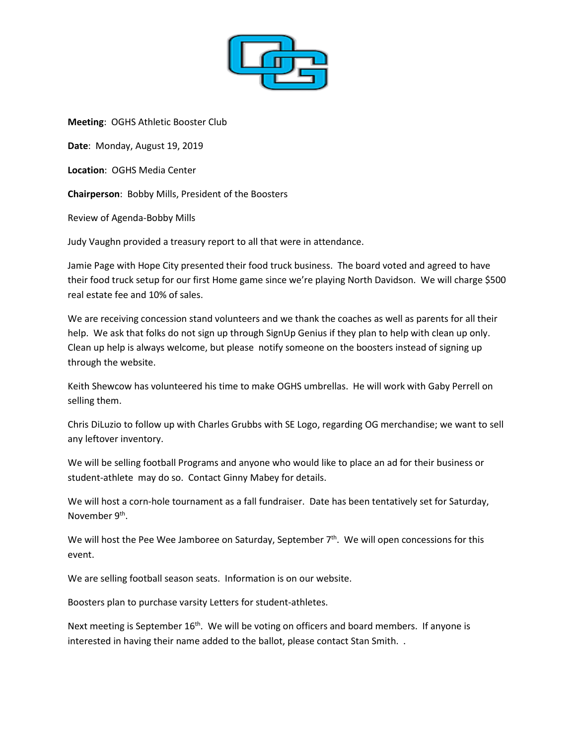

**Meeting**: OGHS Athletic Booster Club

**Date**: Monday, August 19, 2019

**Location**: OGHS Media Center

**Chairperson**: Bobby Mills, President of the Boosters

Review of Agenda-Bobby Mills

Judy Vaughn provided a treasury report to all that were in attendance.

Jamie Page with Hope City presented their food truck business. The board voted and agreed to have their food truck setup for our first Home game since we're playing North Davidson. We will charge \$500 real estate fee and 10% of sales.

We are receiving concession stand volunteers and we thank the coaches as well as parents for all their help. We ask that folks do not sign up through SignUp Genius if they plan to help with clean up only. Clean up help is always welcome, but please notify someone on the boosters instead of signing up through the website.

Keith Shewcow has volunteered his time to make OGHS umbrellas. He will work with Gaby Perrell on selling them.

Chris DiLuzio to follow up with Charles Grubbs with SE Logo, regarding OG merchandise; we want to sell any leftover inventory.

We will be selling football Programs and anyone who would like to place an ad for their business or student-athlete may do so. Contact Ginny Mabey for details.

We will host a corn-hole tournament as a fall fundraiser. Date has been tentatively set for Saturday, November 9th.

We will host the Pee Wee Jamboree on Saturday, September 7<sup>th</sup>. We will open concessions for this event.

We are selling football season seats. Information is on our website.

Boosters plan to purchase varsity Letters for student-athletes.

Next meeting is September 16<sup>th</sup>. We will be voting on officers and board members. If anyone is interested in having their name added to the ballot, please contact Stan Smith. .